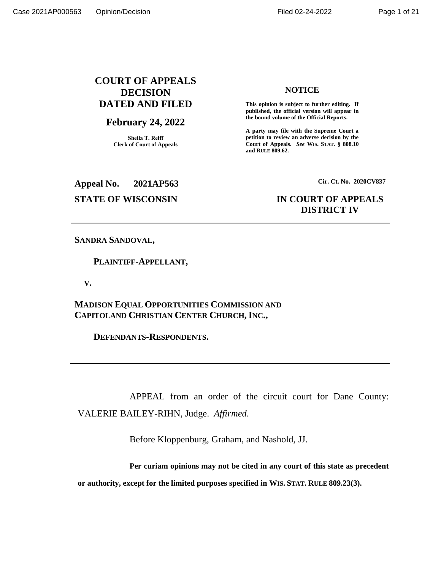# **COURT OF APPEALS DECISION DATED AND FILED**

# **February 24, 2022**

**Sheila T. Reiff Clerk of Court of Appeals** **NOTICE**

**This opinion is subject to further editing. If published, the official version will appear in the bound volume of the Official Reports.** 

**A party may file with the Supreme Court a petition to review an adverse decision by the Court of Appeals.** *See* **WIS. STAT. § 808.10 and RULE 809.62.** 

**Appeal No. 2021AP563 Cir. Ct. No. 2020CV837**

# **STATE OF WISCONSIN IN COURT OF APPEALS DISTRICT IV**

# **SANDRA SANDOVAL,**

 **PLAINTIFF-APPELLANT,**

 **V.**

**MADISON EQUAL OPPORTUNITIES COMMISSION AND CAPITOLAND CHRISTIAN CENTER CHURCH,INC.,**

 **DEFENDANTS-RESPONDENTS.**

APPEAL from an order of the circuit court for Dane County: VALERIE BAILEY-RIHN, Judge. *Affirmed*.

Before Kloppenburg, Graham, and Nashold, JJ.

**Per curiam opinions may not be cited in any court of this state as precedent** 

**or authority, except for the limited purposes specified in WIS. STAT. RULE 809.23(3).**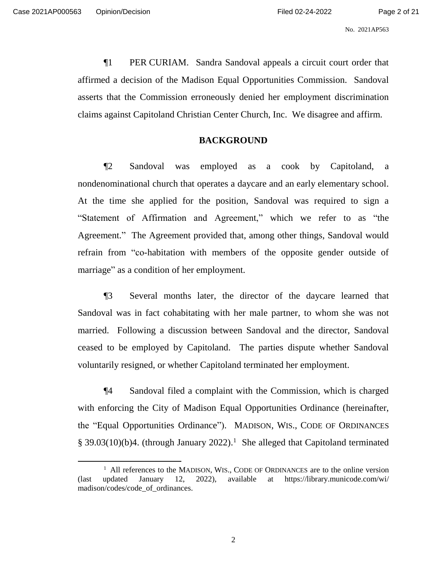¶1 PER CURIAM. Sandra Sandoval appeals a circuit court order that affirmed a decision of the Madison Equal Opportunities Commission. Sandoval asserts that the Commission erroneously denied her employment discrimination claims against Capitoland Christian Center Church, Inc. We disagree and affirm.

# **BACKGROUND**

¶2 Sandoval was employed as a cook by Capitoland, a nondenominational church that operates a daycare and an early elementary school. At the time she applied for the position, Sandoval was required to sign a "Statement of Affirmation and Agreement," which we refer to as "the Agreement." The Agreement provided that, among other things, Sandoval would refrain from "co-habitation with members of the opposite gender outside of marriage" as a condition of her employment.

¶3 Several months later, the director of the daycare learned that Sandoval was in fact cohabitating with her male partner, to whom she was not married. Following a discussion between Sandoval and the director, Sandoval ceased to be employed by Capitoland. The parties dispute whether Sandoval voluntarily resigned, or whether Capitoland terminated her employment.

¶4 Sandoval filed a complaint with the Commission, which is charged with enforcing the City of Madison Equal Opportunities Ordinance (hereinafter, the "Equal Opportunities Ordinance"). MADISON, WIS., CODE OF ORDINANCES § 39.03(10)(b)4. (through January 2022).<sup>1</sup> She alleged that Capitoland terminated

<sup>&</sup>lt;sup>1</sup> All references to the MADISON, WIS., CODE OF ORDINANCES are to the online version (last updated January 12, 2022), available at https://library.municode.com/wi/ madison/codes/code\_of\_ordinances.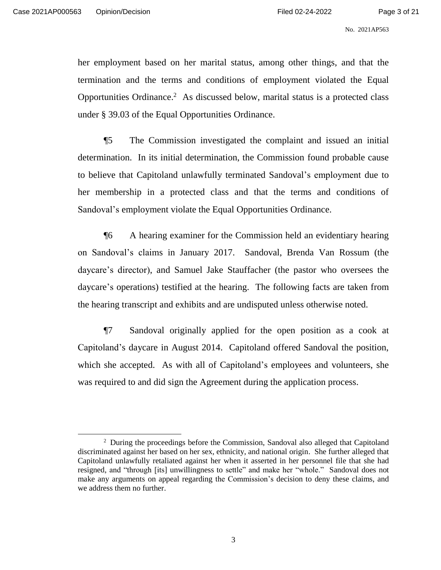her employment based on her marital status, among other things, and that the termination and the terms and conditions of employment violated the Equal Opportunities Ordinance. 2 As discussed below, marital status is a protected class under § 39.03 of the Equal Opportunities Ordinance.

¶5 The Commission investigated the complaint and issued an initial determination. In its initial determination, the Commission found probable cause to believe that Capitoland unlawfully terminated Sandoval's employment due to her membership in a protected class and that the terms and conditions of Sandoval's employment violate the Equal Opportunities Ordinance.

¶6 A hearing examiner for the Commission held an evidentiary hearing on Sandoval's claims in January 2017. Sandoval, Brenda Van Rossum (the daycare's director), and Samuel Jake Stauffacher (the pastor who oversees the daycare's operations) testified at the hearing. The following facts are taken from the hearing transcript and exhibits and are undisputed unless otherwise noted.

¶7 Sandoval originally applied for the open position as a cook at Capitoland's daycare in August 2014. Capitoland offered Sandoval the position, which she accepted. As with all of Capitoland's employees and volunteers, she was required to and did sign the Agreement during the application process.

<sup>&</sup>lt;sup>2</sup> During the proceedings before the Commission, Sandoval also alleged that Capitoland discriminated against her based on her sex, ethnicity, and national origin. She further alleged that Capitoland unlawfully retaliated against her when it asserted in her personnel file that she had resigned, and "through [its] unwillingness to settle" and make her "whole." Sandoval does not make any arguments on appeal regarding the Commission's decision to deny these claims, and we address them no further.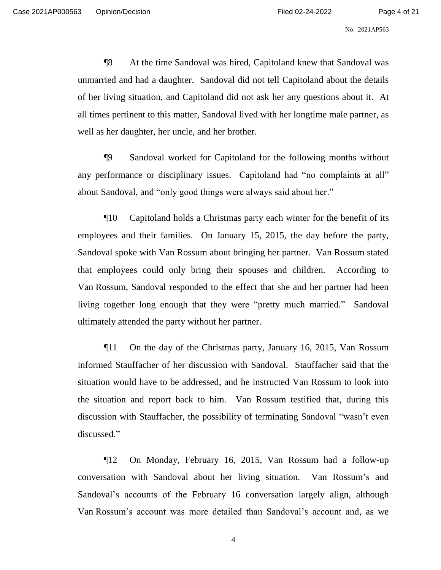¶8 At the time Sandoval was hired, Capitoland knew that Sandoval was unmarried and had a daughter. Sandoval did not tell Capitoland about the details of her living situation, and Capitoland did not ask her any questions about it. At all times pertinent to this matter, Sandoval lived with her longtime male partner, as well as her daughter, her uncle, and her brother.

¶9 Sandoval worked for Capitoland for the following months without any performance or disciplinary issues. Capitoland had "no complaints at all" about Sandoval, and "only good things were always said about her."

¶10 Capitoland holds a Christmas party each winter for the benefit of its employees and their families. On January 15, 2015, the day before the party, Sandoval spoke with Van Rossum about bringing her partner. Van Rossum stated that employees could only bring their spouses and children. According to Van Rossum, Sandoval responded to the effect that she and her partner had been living together long enough that they were "pretty much married." Sandoval ultimately attended the party without her partner.

¶11 On the day of the Christmas party, January 16, 2015, Van Rossum informed Stauffacher of her discussion with Sandoval. Stauffacher said that the situation would have to be addressed, and he instructed Van Rossum to look into the situation and report back to him. Van Rossum testified that, during this discussion with Stauffacher, the possibility of terminating Sandoval "wasn't even discussed."

¶12 On Monday, February 16, 2015, Van Rossum had a follow-up conversation with Sandoval about her living situation. Van Rossum's and Sandoval's accounts of the February 16 conversation largely align, although Van Rossum's account was more detailed than Sandoval's account and, as we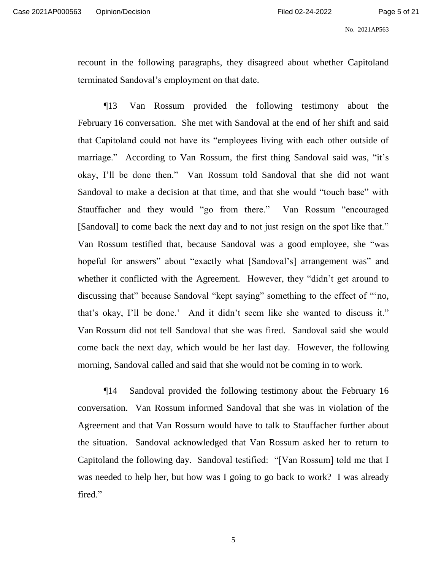recount in the following paragraphs, they disagreed about whether Capitoland terminated Sandoval's employment on that date.

¶13 Van Rossum provided the following testimony about the February 16 conversation. She met with Sandoval at the end of her shift and said that Capitoland could not have its "employees living with each other outside of marriage." According to Van Rossum, the first thing Sandoval said was, "it's okay, I'll be done then." Van Rossum told Sandoval that she did not want Sandoval to make a decision at that time, and that she would "touch base" with Stauffacher and they would "go from there." Van Rossum "encouraged [Sandoval] to come back the next day and to not just resign on the spot like that." Van Rossum testified that, because Sandoval was a good employee, she "was hopeful for answers" about "exactly what [Sandoval's] arrangement was" and whether it conflicted with the Agreement. However, they "didn't get around to discussing that" because Sandoval "kept saying" something to the effect of "'no, that's okay, I'll be done.' And it didn't seem like she wanted to discuss it." Van Rossum did not tell Sandoval that she was fired. Sandoval said she would come back the next day, which would be her last day. However, the following morning, Sandoval called and said that she would not be coming in to work.

¶14 Sandoval provided the following testimony about the February 16 conversation. Van Rossum informed Sandoval that she was in violation of the Agreement and that Van Rossum would have to talk to Stauffacher further about the situation. Sandoval acknowledged that Van Rossum asked her to return to Capitoland the following day. Sandoval testified: "[Van Rossum] told me that I was needed to help her, but how was I going to go back to work? I was already fired."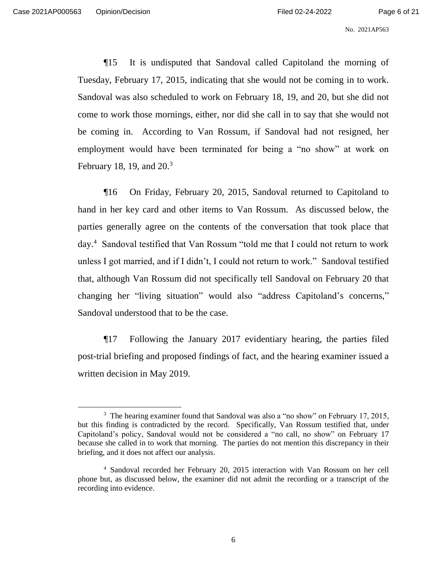¶15 It is undisputed that Sandoval called Capitoland the morning of Tuesday, February 17, 2015, indicating that she would not be coming in to work. Sandoval was also scheduled to work on February 18, 19, and 20, but she did not come to work those mornings, either, nor did she call in to say that she would not be coming in. According to Van Rossum, if Sandoval had not resigned, her employment would have been terminated for being a "no show" at work on February 18, 19, and 20.<sup>3</sup>

¶16 On Friday, February 20, 2015, Sandoval returned to Capitoland to hand in her key card and other items to Van Rossum. As discussed below, the parties generally agree on the contents of the conversation that took place that day. 4 Sandoval testified that Van Rossum "told me that I could not return to work unless I got married, and if I didn't, I could not return to work." Sandoval testified that, although Van Rossum did not specifically tell Sandoval on February 20 that changing her "living situation" would also "address Capitoland's concerns," Sandoval understood that to be the case.

¶17 Following the January 2017 evidentiary hearing, the parties filed post-trial briefing and proposed findings of fact, and the hearing examiner issued a written decision in May 2019.

<sup>&</sup>lt;sup>3</sup> The hearing examiner found that Sandoval was also a "no show" on February 17, 2015, but this finding is contradicted by the record. Specifically, Van Rossum testified that, under Capitoland's policy, Sandoval would not be considered a "no call, no show" on February 17 because she called in to work that morning. The parties do not mention this discrepancy in their briefing, and it does not affect our analysis.

<sup>4</sup> Sandoval recorded her February 20, 2015 interaction with Van Rossum on her cell phone but, as discussed below, the examiner did not admit the recording or a transcript of the recording into evidence.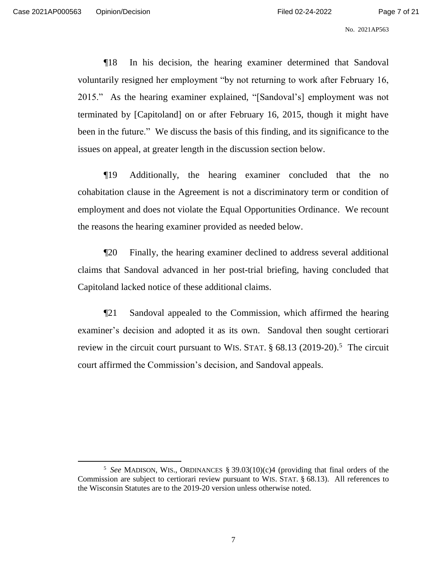¶18 In his decision, the hearing examiner determined that Sandoval voluntarily resigned her employment "by not returning to work after February 16, 2015." As the hearing examiner explained, "[Sandoval's] employment was not terminated by [Capitoland] on or after February 16, 2015, though it might have been in the future." We discuss the basis of this finding, and its significance to the issues on appeal, at greater length in the discussion section below.

¶19 Additionally, the hearing examiner concluded that the no cohabitation clause in the Agreement is not a discriminatory term or condition of employment and does not violate the Equal Opportunities Ordinance. We recount the reasons the hearing examiner provided as needed below.

¶20 Finally, the hearing examiner declined to address several additional claims that Sandoval advanced in her post-trial briefing, having concluded that Capitoland lacked notice of these additional claims.

¶21 Sandoval appealed to the Commission, which affirmed the hearing examiner's decision and adopted it as its own. Sandoval then sought certiorari review in the circuit court pursuant to WIS. STAT. § 68.13 (2019-20).<sup>5</sup> The circuit court affirmed the Commission's decision, and Sandoval appeals.

<sup>5</sup> *See* MADISON, WIS., ORDINANCES § 39.03(10)(c)4 (providing that final orders of the Commission are subject to certiorari review pursuant to WIS. STAT. § 68.13). All references to the Wisconsin Statutes are to the 2019-20 version unless otherwise noted.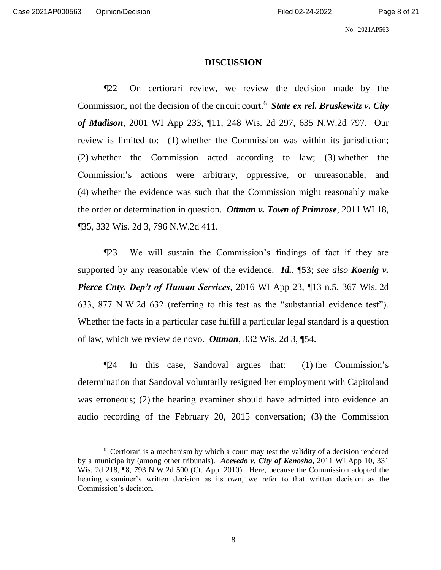No. 2021AP563

### **DISCUSSION**

¶22 On certiorari review, we review the decision made by the Commission, not the decision of the circuit court.<sup>6</sup> *State ex rel. Bruskewitz v. City of Madison*, 2001 WI App 233, ¶11, 248 Wis. 2d 297, 635 N.W.2d 797. Our review is limited to: (1) whether the Commission was within its jurisdiction; (2) whether the Commission acted according to law; (3) whether the Commission's actions were arbitrary, oppressive, or unreasonable; and (4) whether the evidence was such that the Commission might reasonably make the order or determination in question. *Ottman v. Town of Primrose*, 2011 WI 18, ¶35, 332 Wis. 2d 3, 796 N.W.2d 411.

¶23 We will sustain the Commission's findings of fact if they are supported by any reasonable view of the evidence. *Id.*, ¶53; *see also Koenig v. Pierce Cnty. Dep't of Human Services*, 2016 WI App 23, ¶13 n.5, 367 Wis. 2d 633, 877 N.W.2d 632 (referring to this test as the "substantial evidence test"). Whether the facts in a particular case fulfill a particular legal standard is a question of law, which we review de novo. *Ottman*, 332 Wis. 2d 3, ¶54.

¶24 In this case, Sandoval argues that: (1) the Commission's determination that Sandoval voluntarily resigned her employment with Capitoland was erroneous; (2) the hearing examiner should have admitted into evidence an audio recording of the February 20, 2015 conversation; (3) the Commission

<sup>&</sup>lt;sup>6</sup> Certiorari is a mechanism by which a court may test the validity of a decision rendered by a municipality (among other tribunals). *Acevedo v. City of Kenosha*, 2011 WI App 10, 331 Wis. 2d 218, ¶8, 793 N.W.2d 500 (Ct. App. 2010). Here, because the Commission adopted the hearing examiner's written decision as its own, we refer to that written decision as the Commission's decision.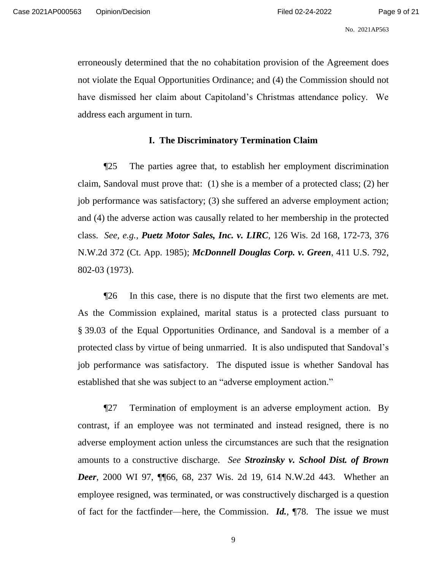erroneously determined that the no cohabitation provision of the Agreement does not violate the Equal Opportunities Ordinance; and (4) the Commission should not have dismissed her claim about Capitoland's Christmas attendance policy. We address each argument in turn.

### **I. The Discriminatory Termination Claim**

¶25 The parties agree that, to establish her employment discrimination claim, Sandoval must prove that: (1) she is a member of a protected class; (2) her job performance was satisfactory; (3) she suffered an adverse employment action; and (4) the adverse action was causally related to her membership in the protected class. *See, e.g.*, *Puetz Motor Sales, Inc. v. LIRC*, 126 Wis. 2d 168, 172-73, 376 N.W.2d 372 (Ct. App. 1985); *McDonnell Douglas Corp. v. Green*, 411 U.S. 792, 802-03 (1973).

¶26 In this case, there is no dispute that the first two elements are met. As the Commission explained, marital status is a protected class pursuant to § 39.03 of the Equal Opportunities Ordinance, and Sandoval is a member of a protected class by virtue of being unmarried. It is also undisputed that Sandoval's job performance was satisfactory. The disputed issue is whether Sandoval has established that she was subject to an "adverse employment action."

¶27 Termination of employment is an adverse employment action. By contrast, if an employee was not terminated and instead resigned, there is no adverse employment action unless the circumstances are such that the resignation amounts to a constructive discharge. *See Strozinsky v. School Dist. of Brown Deer*, 2000 WI 97, 1166, 68, 237 Wis. 2d 19, 614 N.W.2d 443. Whether an employee resigned, was terminated, or was constructively discharged is a question of fact for the factfinder—here, the Commission. *Id.*, ¶78. The issue we must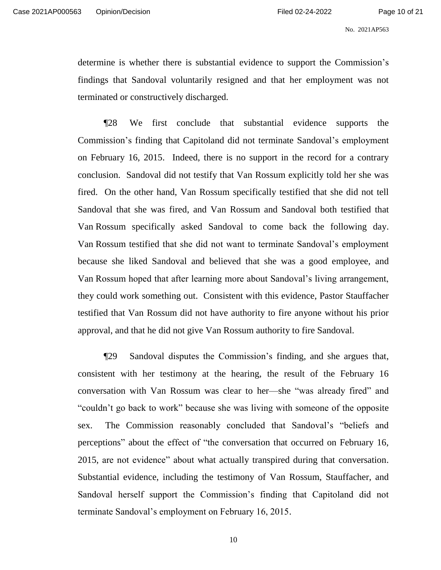determine is whether there is substantial evidence to support the Commission's findings that Sandoval voluntarily resigned and that her employment was not terminated or constructively discharged.

¶28 We first conclude that substantial evidence supports the Commission's finding that Capitoland did not terminate Sandoval's employment on February 16, 2015. Indeed, there is no support in the record for a contrary conclusion. Sandoval did not testify that Van Rossum explicitly told her she was fired. On the other hand, Van Rossum specifically testified that she did not tell Sandoval that she was fired, and Van Rossum and Sandoval both testified that Van Rossum specifically asked Sandoval to come back the following day. Van Rossum testified that she did not want to terminate Sandoval's employment because she liked Sandoval and believed that she was a good employee, and Van Rossum hoped that after learning more about Sandoval's living arrangement, they could work something out. Consistent with this evidence, Pastor Stauffacher testified that Van Rossum did not have authority to fire anyone without his prior approval, and that he did not give Van Rossum authority to fire Sandoval.

¶29 Sandoval disputes the Commission's finding, and she argues that, consistent with her testimony at the hearing, the result of the February 16 conversation with Van Rossum was clear to her—she "was already fired" and "couldn't go back to work" because she was living with someone of the opposite sex. The Commission reasonably concluded that Sandoval's "beliefs and perceptions" about the effect of "the conversation that occurred on February 16, 2015, are not evidence" about what actually transpired during that conversation. Substantial evidence, including the testimony of Van Rossum, Stauffacher, and Sandoval herself support the Commission's finding that Capitoland did not terminate Sandoval's employment on February 16, 2015.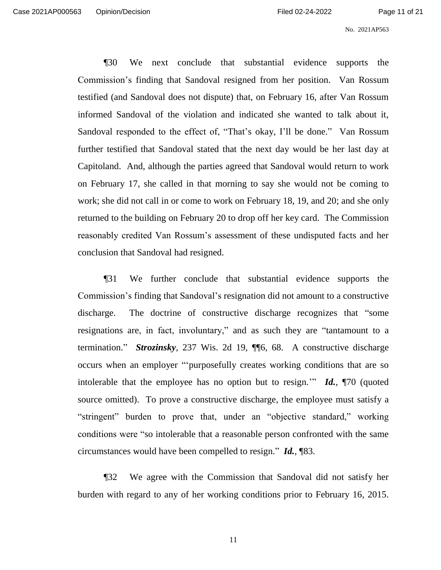¶30 We next conclude that substantial evidence supports the Commission's finding that Sandoval resigned from her position. Van Rossum testified (and Sandoval does not dispute) that, on February 16, after Van Rossum informed Sandoval of the violation and indicated she wanted to talk about it, Sandoval responded to the effect of, "That's okay, I'll be done." Van Rossum further testified that Sandoval stated that the next day would be her last day at Capitoland. And, although the parties agreed that Sandoval would return to work on February 17, she called in that morning to say she would not be coming to work; she did not call in or come to work on February 18, 19, and 20; and she only returned to the building on February 20 to drop off her key card. The Commission reasonably credited Van Rossum's assessment of these undisputed facts and her conclusion that Sandoval had resigned.

¶31 We further conclude that substantial evidence supports the Commission's finding that Sandoval's resignation did not amount to a constructive discharge. The doctrine of constructive discharge recognizes that "some resignations are, in fact, involuntary," and as such they are "tantamount to a termination." *Strozinsky*, 237 Wis. 2d 19, ¶¶6, 68. A constructive discharge occurs when an employer "'purposefully creates working conditions that are so intolerable that the employee has no option but to resign.'" *Id.*, ¶70 (quoted source omitted). To prove a constructive discharge, the employee must satisfy a "stringent" burden to prove that, under an "objective standard," working conditions were "so intolerable that a reasonable person confronted with the same circumstances would have been compelled to resign." *Id.*, ¶83.

¶32 We agree with the Commission that Sandoval did not satisfy her burden with regard to any of her working conditions prior to February 16, 2015.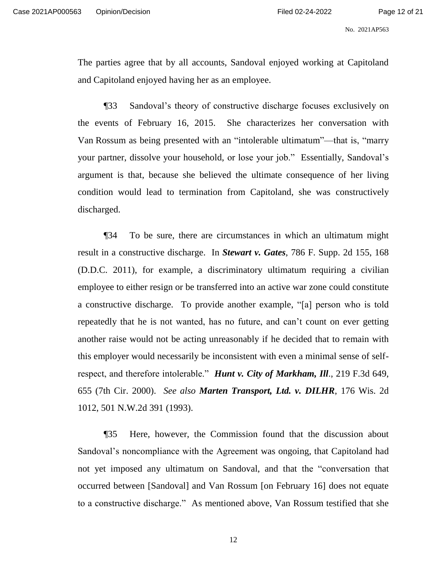The parties agree that by all accounts, Sandoval enjoyed working at Capitoland and Capitoland enjoyed having her as an employee.

¶33 Sandoval's theory of constructive discharge focuses exclusively on the events of February 16, 2015. She characterizes her conversation with Van Rossum as being presented with an "intolerable ultimatum"—that is, "marry your partner, dissolve your household, or lose your job." Essentially, Sandoval's argument is that, because she believed the ultimate consequence of her living condition would lead to termination from Capitoland, she was constructively discharged.

¶34 To be sure, there are circumstances in which an ultimatum might result in a constructive discharge. In *Stewart v. Gates*, 786 F. Supp. 2d 155, 168 (D.D.C. 2011), for example, a discriminatory ultimatum requiring a civilian employee to either resign or be transferred into an active war zone could constitute a constructive discharge. To provide another example, "[a] person who is told repeatedly that he is not wanted, has no future, and can't count on ever getting another raise would not be acting unreasonably if he decided that to remain with this employer would necessarily be inconsistent with even a minimal sense of selfrespect, and therefore intolerable." *Hunt v. City of Markham, Ill*., 219 F.3d 649, 655 (7th Cir. 2000). *See also Marten Transport, Ltd. v. DILHR*, 176 Wis. 2d 1012, 501 N.W.2d 391 (1993).

¶35 Here, however, the Commission found that the discussion about Sandoval's noncompliance with the Agreement was ongoing, that Capitoland had not yet imposed any ultimatum on Sandoval, and that the "conversation that occurred between [Sandoval] and Van Rossum [on February 16] does not equate to a constructive discharge." As mentioned above, Van Rossum testified that she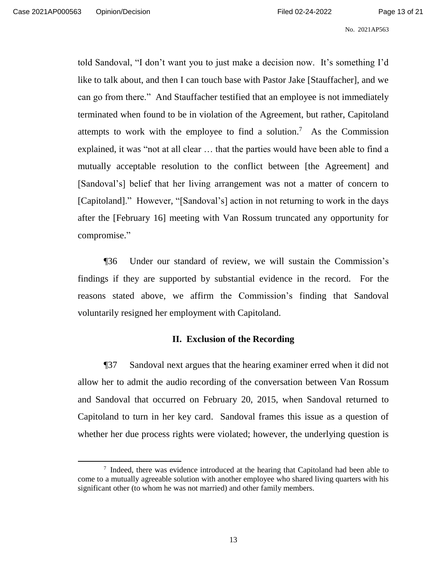told Sandoval, "I don't want you to just make a decision now. It's something I'd like to talk about, and then I can touch base with Pastor Jake [Stauffacher], and we can go from there." And Stauffacher testified that an employee is not immediately terminated when found to be in violation of the Agreement, but rather, Capitoland attempts to work with the employee to find a solution.<sup>7</sup> As the Commission explained, it was "not at all clear … that the parties would have been able to find a mutually acceptable resolution to the conflict between [the Agreement] and [Sandoval's] belief that her living arrangement was not a matter of concern to [Capitoland]." However, "[Sandoval's] action in not returning to work in the days after the [February 16] meeting with Van Rossum truncated any opportunity for compromise."

¶36 Under our standard of review, we will sustain the Commission's findings if they are supported by substantial evidence in the record. For the reasons stated above, we affirm the Commission's finding that Sandoval voluntarily resigned her employment with Capitoland.

## **II. Exclusion of the Recording**

¶37 Sandoval next argues that the hearing examiner erred when it did not allow her to admit the audio recording of the conversation between Van Rossum and Sandoval that occurred on February 20, 2015, when Sandoval returned to Capitoland to turn in her key card. Sandoval frames this issue as a question of whether her due process rights were violated; however, the underlying question is

<sup>&</sup>lt;sup>7</sup> Indeed, there was evidence introduced at the hearing that Capitoland had been able to come to a mutually agreeable solution with another employee who shared living quarters with his significant other (to whom he was not married) and other family members.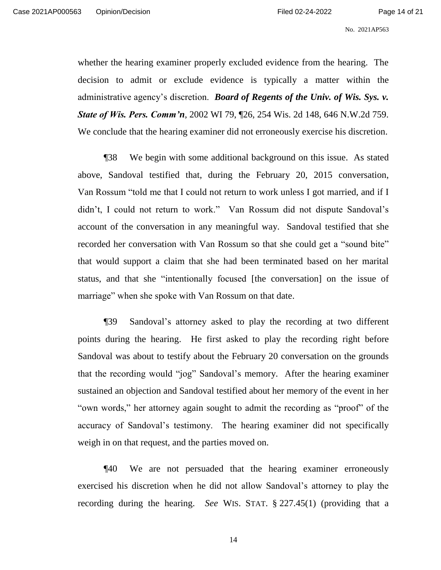whether the hearing examiner properly excluded evidence from the hearing. The decision to admit or exclude evidence is typically a matter within the administrative agency's discretion. *Board of Regents of the Univ. of Wis. Sys. v. State of Wis. Pers. Comm'n*, 2002 WI 79, ¶26, 254 Wis. 2d 148, 646 N.W.2d 759. We conclude that the hearing examiner did not erroneously exercise his discretion.

¶38 We begin with some additional background on this issue. As stated above, Sandoval testified that, during the February 20, 2015 conversation, Van Rossum "told me that I could not return to work unless I got married, and if I didn't, I could not return to work." Van Rossum did not dispute Sandoval's account of the conversation in any meaningful way. Sandoval testified that she recorded her conversation with Van Rossum so that she could get a "sound bite" that would support a claim that she had been terminated based on her marital status, and that she "intentionally focused [the conversation] on the issue of marriage" when she spoke with Van Rossum on that date.

¶39 Sandoval's attorney asked to play the recording at two different points during the hearing. He first asked to play the recording right before Sandoval was about to testify about the February 20 conversation on the grounds that the recording would "jog" Sandoval's memory. After the hearing examiner sustained an objection and Sandoval testified about her memory of the event in her "own words," her attorney again sought to admit the recording as "proof" of the accuracy of Sandoval's testimony. The hearing examiner did not specifically weigh in on that request, and the parties moved on.

¶40 We are not persuaded that the hearing examiner erroneously exercised his discretion when he did not allow Sandoval's attorney to play the recording during the hearing. *See* WIS. STAT. § 227.45(1) (providing that a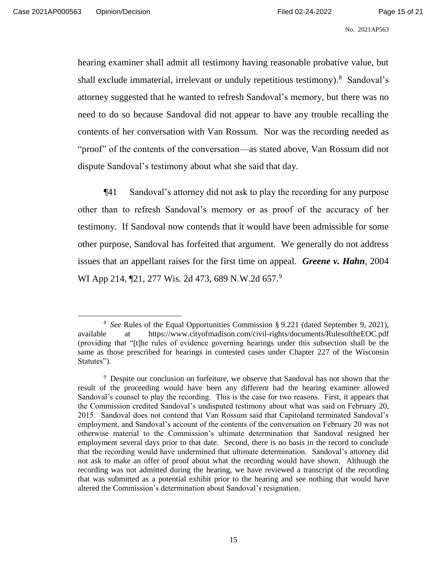hearing examiner shall admit all testimony having reasonable probative value, but shall exclude immaterial, irrelevant or unduly repetitious testimony).<sup>8</sup> Sandoval's attorney suggested that he wanted to refresh Sandoval's memory, but there was no need to do so because Sandoval did not appear to have any trouble recalling the contents of her conversation with Van Rossum. Nor was the recording needed as "proof" of the contents of the conversation—as stated above, Van Rossum did not dispute Sandoval's testimony about what she said that day.

¶41 Sandoval's attorney did not ask to play the recording for any purpose other than to refresh Sandoval's memory or as proof of the accuracy of her testimony. If Sandoval now contends that it would have been admissible for some other purpose, Sandoval has forfeited that argument. We generally do not address issues that an appellant raises for the first time on appeal. *Greene v. Hahn*, 2004 WI App 214, 121, 277 Wis. 2d 473, 689 N.W.2d 657.<sup>9</sup>

<sup>8</sup> *See* Rules of the Equal Opportunities Commission § 9.221 (dated September 9, 2021), available at https://www.cityofmadison.com/civil-rights/documents/RulesoftheEOC.pdf (providing that "[t]he rules of evidence governing hearings under this subsection shall be the same as those prescribed for hearings in contested cases under Chapter 227 of the Wisconsin Statutes").

<sup>&</sup>lt;sup>9</sup> Despite our conclusion on forfeiture, we observe that Sandoval has not shown that the result of the proceeding would have been any different had the hearing examiner allowed Sandoval's counsel to play the recording. This is the case for two reasons. First, it appears that the Commission credited Sandoval's undisputed testimony about what was said on February 20, 2015. Sandoval does not contend that Van Rossum said that Capitoland terminated Sandoval's employment, and Sandoval's account of the contents of the conversation on February 20 was not otherwise material to the Commission's ultimate determination that Sandoval resigned her employment several days prior to that date. Second, there is no basis in the record to conclude that the recording would have undermined that ultimate determination. Sandoval's attorney did not ask to make an offer of proof about what the recording would have shown. Although the recording was not admitted during the hearing, we have reviewed a transcript of the recording that was submitted as a potential exhibit prior to the hearing and see nothing that would have altered the Commission's determination about Sandoval's resignation.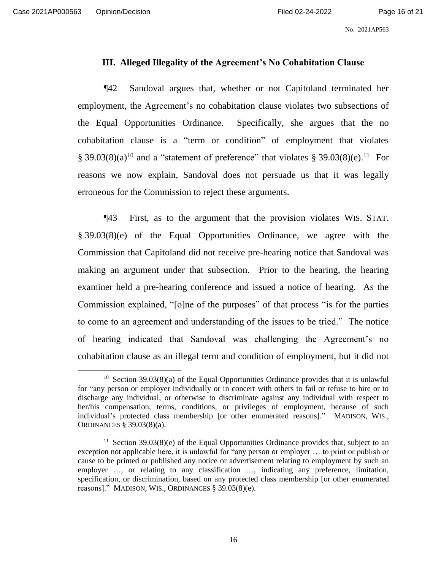# **III. Alleged Illegality of the Agreement's No Cohabitation Clause**

¶42 Sandoval argues that, whether or not Capitoland terminated her employment, the Agreement's no cohabitation clause violates two subsections of the Equal Opportunities Ordinance. Specifically, she argues that the no cohabitation clause is a "term or condition" of employment that violates § 39.03(8)(a)<sup>10</sup> and a "statement of preference" that violates § 39.03(8)(e).<sup>11</sup> For reasons we now explain, Sandoval does not persuade us that it was legally erroneous for the Commission to reject these arguments.

¶43 First, as to the argument that the provision violates WIS. STAT. § 39.03(8)(e) of the Equal Opportunities Ordinance, we agree with the Commission that Capitoland did not receive pre-hearing notice that Sandoval was making an argument under that subsection. Prior to the hearing, the hearing examiner held a pre-hearing conference and issued a notice of hearing. As the Commission explained, "[o]ne of the purposes" of that process "is for the parties to come to an agreement and understanding of the issues to be tried." The notice of hearing indicated that Sandoval was challenging the Agreement's no cohabitation clause as an illegal term and condition of employment, but it did not

<sup>&</sup>lt;sup>10</sup> Section 39.03(8)(a) of the Equal Opportunities Ordinance provides that it is unlawful for "any person or employer individually or in concert with others to fail or refuse to hire or to discharge any individual, or otherwise to discriminate against any individual with respect to her/his compensation, terms, conditions, or privileges of employment, because of such individual's protected class membership [or other enumerated reasons]." MADISON, WIS., ORDINANCES § 39.03(8)(a).

<sup>&</sup>lt;sup>11</sup> Section 39.03(8)(e) of the Equal Opportunities Ordinance provides that, subject to an exception not applicable here, it is unlawful for "any person or employer … to print or publish or cause to be printed or published any notice or advertisement relating to employment by such an employer ..., or relating to any classification ..., indicating any preference, limitation, specification, or discrimination, based on any protected class membership [or other enumerated reasons]." MADISON, WIS., ORDINANCES § 39.03(8)(e).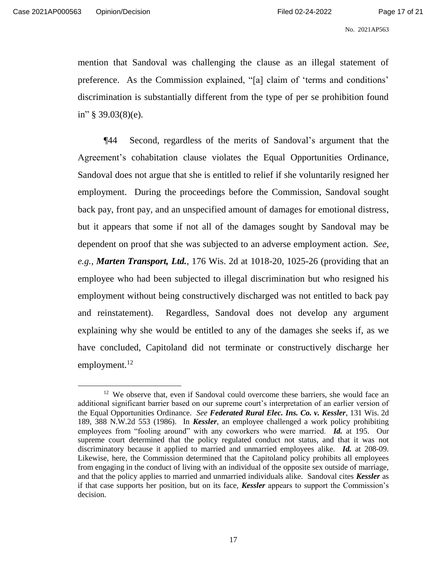mention that Sandoval was challenging the clause as an illegal statement of preference. As the Commission explained, "[a] claim of 'terms and conditions' discrimination is substantially different from the type of per se prohibition found in" § 39.03(8)(e).

¶44 Second, regardless of the merits of Sandoval's argument that the Agreement's cohabitation clause violates the Equal Opportunities Ordinance, Sandoval does not argue that she is entitled to relief if she voluntarily resigned her employment. During the proceedings before the Commission, Sandoval sought back pay, front pay, and an unspecified amount of damages for emotional distress, but it appears that some if not all of the damages sought by Sandoval may be dependent on proof that she was subjected to an adverse employment action. *See, e.g.*, *Marten Transport, Ltd.*, 176 Wis. 2d at 1018-20, 1025-26 (providing that an employee who had been subjected to illegal discrimination but who resigned his employment without being constructively discharged was not entitled to back pay and reinstatement). Regardless, Sandoval does not develop any argument explaining why she would be entitled to any of the damages she seeks if, as we have concluded, Capitoland did not terminate or constructively discharge her employment. $12$ 

<sup>&</sup>lt;sup>12</sup> We observe that, even if Sandoval could overcome these barriers, she would face an additional significant barrier based on our supreme court's interpretation of an earlier version of the Equal Opportunities Ordinance. *See Federated Rural Elec. Ins. Co. v. Kessler*, 131 Wis. 2d 189, 388 N.W.2d 553 (1986). In *Kessler*, an employee challenged a work policy prohibiting employees from "fooling around" with any coworkers who were married. *Id.* at 195. Our supreme court determined that the policy regulated conduct not status, and that it was not discriminatory because it applied to married and unmarried employees alike. *Id.* at 208-09. Likewise, here, the Commission determined that the Capitoland policy prohibits all employees from engaging in the conduct of living with an individual of the opposite sex outside of marriage, and that the policy applies to married and unmarried individuals alike. Sandoval cites *Kessler* as if that case supports her position, but on its face, *Kessler* appears to support the Commission's decision.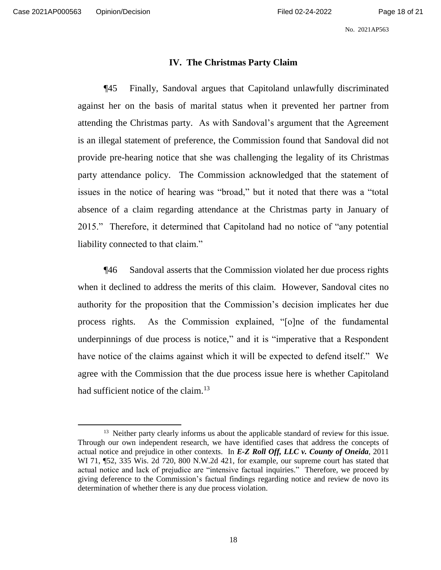## **IV. The Christmas Party Claim**

¶45 Finally, Sandoval argues that Capitoland unlawfully discriminated against her on the basis of marital status when it prevented her partner from attending the Christmas party. As with Sandoval's argument that the Agreement is an illegal statement of preference, the Commission found that Sandoval did not provide pre-hearing notice that she was challenging the legality of its Christmas party attendance policy. The Commission acknowledged that the statement of issues in the notice of hearing was "broad," but it noted that there was a "total absence of a claim regarding attendance at the Christmas party in January of 2015." Therefore, it determined that Capitoland had no notice of "any potential liability connected to that claim."

¶46 Sandoval asserts that the Commission violated her due process rights when it declined to address the merits of this claim. However, Sandoval cites no authority for the proposition that the Commission's decision implicates her due process rights. As the Commission explained, "[o]ne of the fundamental underpinnings of due process is notice," and it is "imperative that a Respondent have notice of the claims against which it will be expected to defend itself." We agree with the Commission that the due process issue here is whether Capitoland had sufficient notice of the claim.<sup>13</sup>

<sup>&</sup>lt;sup>13</sup> Neither party clearly informs us about the applicable standard of review for this issue. Through our own independent research, we have identified cases that address the concepts of actual notice and prejudice in other contexts. In *E-Z Roll Off, LLC v. County of Oneida*, 2011 WI 71, ¶52, 335 Wis. 2d 720, 800 N.W.2d 421, for example, our supreme court has stated that actual notice and lack of prejudice are "intensive factual inquiries." Therefore, we proceed by giving deference to the Commission's factual findings regarding notice and review de novo its determination of whether there is any due process violation.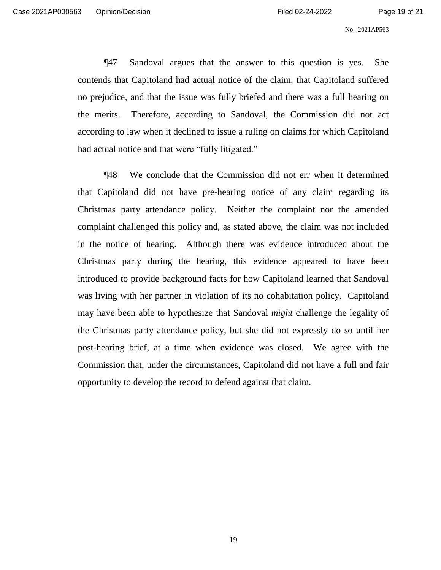¶47 Sandoval argues that the answer to this question is yes. She contends that Capitoland had actual notice of the claim, that Capitoland suffered no prejudice, and that the issue was fully briefed and there was a full hearing on the merits. Therefore, according to Sandoval, the Commission did not act according to law when it declined to issue a ruling on claims for which Capitoland had actual notice and that were "fully litigated."

¶48 We conclude that the Commission did not err when it determined that Capitoland did not have pre-hearing notice of any claim regarding its Christmas party attendance policy. Neither the complaint nor the amended complaint challenged this policy and, as stated above, the claim was not included in the notice of hearing. Although there was evidence introduced about the Christmas party during the hearing, this evidence appeared to have been introduced to provide background facts for how Capitoland learned that Sandoval was living with her partner in violation of its no cohabitation policy. Capitoland may have been able to hypothesize that Sandoval *might* challenge the legality of the Christmas party attendance policy, but she did not expressly do so until her post-hearing brief, at a time when evidence was closed. We agree with the Commission that, under the circumstances, Capitoland did not have a full and fair opportunity to develop the record to defend against that claim.